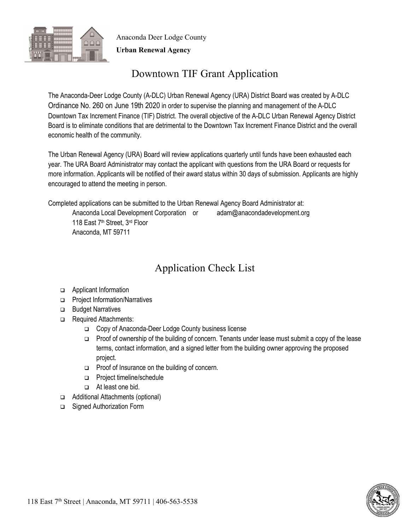

Anaconda Deer Lodge County **Urban Renewal Agency**

# Downtown TIF Grant Application

The Anaconda-Deer Lodge County (A-DLC) Urban Renewal Agency (URA) District Board was created by A-DLC Ordinance No. 260 on June 19th 2020 in order to supervise the planning and management of the A-DLC Downtown Tax Increment Finance (TIF) District. The overall objective of the A-DLC Urban Renewal Agency District Board is to eliminate conditions that are detrimental to the Downtown Tax Increment Finance District and the overall economic health of the community.

The Urban Renewal Agency (URA) Board will review applications quarterly until funds have been exhausted each year. The URA Board Administrator may contact the applicant with questions from the URA Board or requests for more information. Applicants will be notified of their award status within 30 days of submission. Applicants are highly encouraged to attend the meeting in person.

Completed applications can be submitted to the Urban Renewal Agency Board Administrator at:

Anaconda Local Development Corporation or adam@anacondadevelopment.org 118 East 7<sup>th</sup> Street, 3<sup>rd</sup> Floor Anaconda, MT 59711

# Application Check List

- □ Applicant Information
- □ Project Information/Narratives
- **Budget Narratives**
- Required Attachments:
	- Copy of Anaconda-Deer Lodge County business license
	- $\Box$  Proof of ownership of the building of concern. Tenants under lease must submit a copy of the lease terms, contact information, and a signed letter from the building owner approving the proposed project.
	- **Proof of Insurance on the building of concern.**
	- **Project timeline/schedule**
	- At least one bid.
- □ Additional Attachments (optional)
- □ Signed Authorization Form

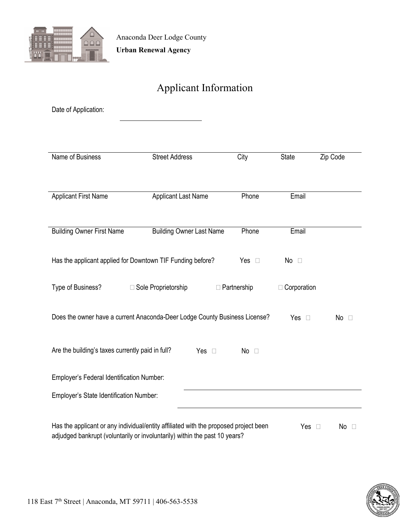

# Applicant Information

| Date of Application:                                                                                       |                                                                                                                                                                    |                    |               |          |  |  |
|------------------------------------------------------------------------------------------------------------|--------------------------------------------------------------------------------------------------------------------------------------------------------------------|--------------------|---------------|----------|--|--|
|                                                                                                            |                                                                                                                                                                    |                    |               |          |  |  |
| Name of Business                                                                                           | <b>Street Address</b>                                                                                                                                              | City               | <b>State</b>  | Zip Code |  |  |
|                                                                                                            |                                                                                                                                                                    |                    |               |          |  |  |
| <b>Applicant First Name</b>                                                                                | <b>Applicant Last Name</b>                                                                                                                                         | Phone              | Email         |          |  |  |
|                                                                                                            |                                                                                                                                                                    |                    |               |          |  |  |
| <b>Building Owner First Name</b>                                                                           | <b>Building Owner Last Name</b>                                                                                                                                    | Phone              | Email         |          |  |  |
|                                                                                                            | Has the applicant applied for Downtown TIF Funding before?                                                                                                         | Yes $\square$      | No $\square$  |          |  |  |
| Type of Business?                                                                                          | □ Sole Proprietorship                                                                                                                                              | $\Box$ Partnership | □ Corporation |          |  |  |
| Does the owner have a current Anaconda-Deer Lodge County Business License?<br>Yes $\square$<br>$No$ $\Box$ |                                                                                                                                                                    |                    |               |          |  |  |
| Are the building's taxes currently paid in full?<br>Yes $\square$<br>No $\square$                          |                                                                                                                                                                    |                    |               |          |  |  |
| Employer's Federal Identification Number:                                                                  |                                                                                                                                                                    |                    |               |          |  |  |
| Employer's State Identification Number:                                                                    |                                                                                                                                                                    |                    |               |          |  |  |
|                                                                                                            | Has the applicant or any individual/entity affiliated with the proposed project been<br>adjudged bankrupt (voluntarily or involuntarily) within the past 10 years? |                    | Yes $\square$ | No<br>П  |  |  |

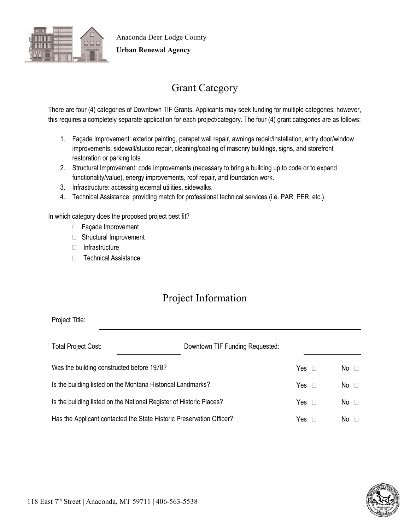

**Urban Renewal Agency**

# Grant Category

There are four (4) categories of Downtown TIF Grants. Applicants may seek funding for multiple categories; however, this requires a completely separate application for each project/category. The four (4) grant categories are as follows:

- 1. Façade Improvement: exterior painting, parapet wall repair, awnings repair/installation, entry door/window improvements, sidewall/stucco repair, cleaning/coating of masonry buildings, signs, and storefront restoration or parking lots.
- 2. Structural Improvement: code improvements (necessary to bring a building up to code or to expand functionality/value), energy improvements, roof repair, and foundation work.
- 3. Infrastructure: accessing external utilities, sidewalks.
- 4. Technical Assistance: providing match for professional technical services (i.e. PAR, PER, etc.).

In which category does the proposed project best fit?

- □ Façade Improvement
- □ Structural Improvement
- $\Box$  Infrastructure
- □ Technical Assistance

#### Project Information

Project Title:

| <b>Total Project Cost:</b>                                           | Downtown TIF Funding Requested: |     |              |
|----------------------------------------------------------------------|---------------------------------|-----|--------------|
| Was the building constructed before 1978?                            |                                 | Yes | No $\Box$    |
| Is the building listed on the Montana Historical Landmarks?          |                                 | Yes | No $\square$ |
| Is the building listed on the National Register of Historic Places?  |                                 | Yes | No $\square$ |
| Has the Applicant contacted the State Historic Preservation Officer? |                                 | Yes | No.          |

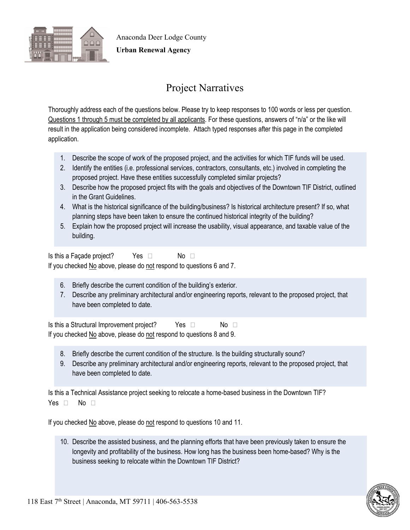

**Urban Renewal Agency**

# Project Narratives

Thoroughly address each of the questions below. Please try to keep responses to 100 words or less per question. Questions 1 through 5 must be completed by all applicants. For these questions, answers of "n/a" or the like will result in the application being considered incomplete. Attach typed responses after this page in the completed application.

- 1. Describe the scope of work of the proposed project, and the activities for which TIF funds will be used.
- 2. Identify the entities (i.e. professional services, contractors, consultants, etc.) involved in completing the proposed project. Have these entities successfully completed similar projects?
- 3. Describe how the proposed project fits with the goals and objectives of the Downtown TIF District, outlined in the Grant Guidelines.
- 4. What is the historical significance of the building/business? Is historical architecture present? If so, what planning steps have been taken to ensure the continued historical integrity of the building?
- 5. Explain how the proposed project will increase the usability, visual appearance, and taxable value of the building.

Is this a Façade project? Yes  $\Box$  No  $\Box$ If you checked No above, please do not respond to questions 6 and 7.

- 6. Briefly describe the current condition of the building's exterior.
- 7. Describe any preliminary architectural and/or engineering reports, relevant to the proposed project, that have been completed to date.

Is this a Structural Improvement project? Yes  $\Box$  No  $\Box$ If you checked No above, please do not respond to questions 8 and 9.

- 8. Briefly describe the current condition of the structure. Is the building structurally sound?
- 9. Describe any preliminary architectural and/or engineering reports, relevant to the proposed project, that have been completed to date.

Is this a Technical Assistance project seeking to relocate a home-based business in the Downtown TIF? Yes  $\Box$  No  $\Box$ 

If you checked No above, please do not respond to questions 10 and 11.

10. Describe the assisted business, and the planning efforts that have been previously taken to ensure the longevity and profitability of the business. How long has the business been home-based? Why is the business seeking to relocate within the Downtown TIF District?

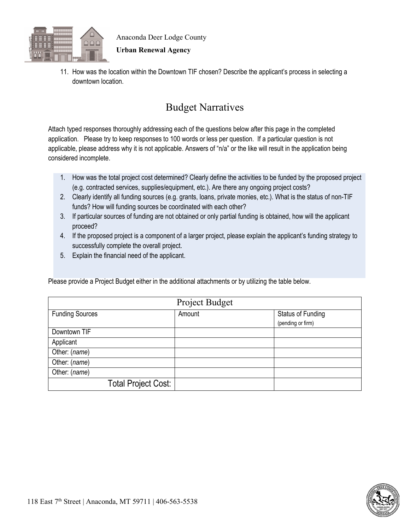

#### **Urban Renewal Agency**

11. How was the location within the Downtown TIF chosen? Describe the applicant's process in selecting a downtown location.

#### Budget Narratives

Attach typed responses thoroughly addressing each of the questions below after this page in the completed application. Please try to keep responses to 100 words or less per question. If a particular question is not applicable, please address why it is not applicable. Answers of "n/a" or the like will result in the application being considered incomplete.

- 1. How was the total project cost determined? Clearly define the activities to be funded by the proposed project (e.g. contracted services, supplies/equipment, etc.). Are there any ongoing project costs?
- 2. Clearly identify all funding sources (e.g. grants, loans, private monies, etc.). What is the status of non-TIF funds? How will funding sources be coordinated with each other?
- 3. If particular sources of funding are not obtained or only partial funding is obtained, how will the applicant proceed?
- 4. If the proposed project is a component of a larger project, please explain the applicant's funding strategy to successfully complete the overall project.
- 5. Explain the financial need of the applicant.

Please provide a Project Budget either in the additional attachments or by utilizing the table below.

| Project Budget             |        |                                               |  |  |
|----------------------------|--------|-----------------------------------------------|--|--|
| <b>Funding Sources</b>     | Amount | <b>Status of Funding</b><br>(pending or firm) |  |  |
| Downtown TIF               |        |                                               |  |  |
| Applicant                  |        |                                               |  |  |
| Other: (name)              |        |                                               |  |  |
| Other: (name)              |        |                                               |  |  |
| Other: (name)              |        |                                               |  |  |
| <b>Total Project Cost:</b> |        |                                               |  |  |